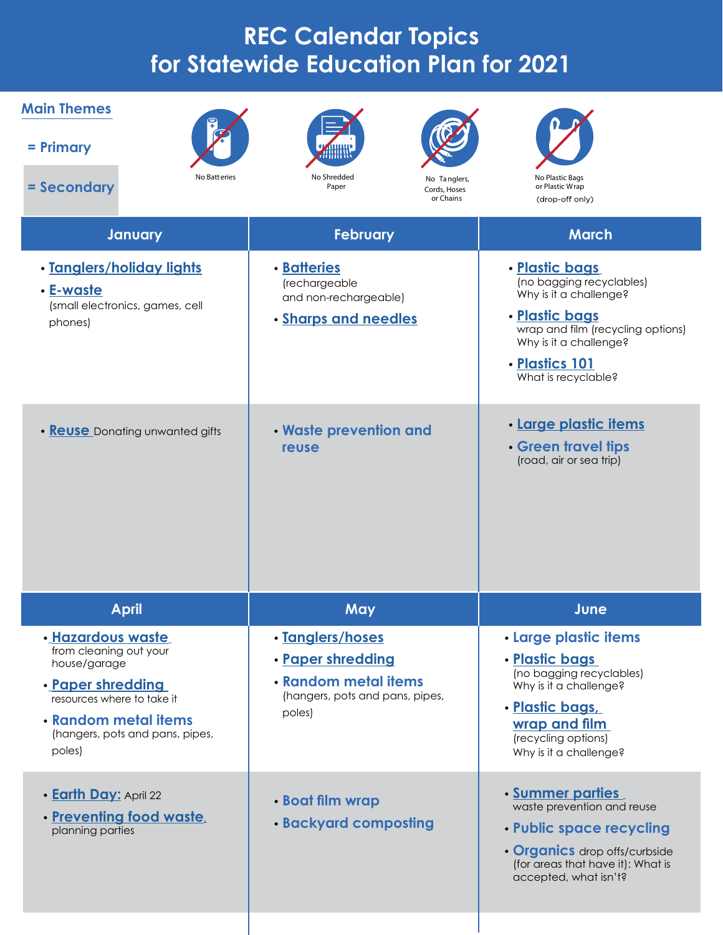## **REC Calendar Topics for Statewide Education Plan for 2021**

| <b>Main Themes</b><br>$=$ Primary<br>No Batteries<br>= Secondary                                                                                                                    | No Shredded<br>No Tanglers,<br>Paper<br>Cords, Hoses<br>or Chains                                          | No Plastic Bags<br>or Plastic Wrap<br>(drop-off only)                                                                                                                                            |
|-------------------------------------------------------------------------------------------------------------------------------------------------------------------------------------|------------------------------------------------------------------------------------------------------------|--------------------------------------------------------------------------------------------------------------------------------------------------------------------------------------------------|
| January                                                                                                                                                                             | <b>February</b>                                                                                            | <b>March</b>                                                                                                                                                                                     |
| · Tanglers/holiday lights<br>• E-waste<br>(small electronics, games, cell<br>phones)                                                                                                | <b>· Batteries</b><br>(rechargeable<br>and non-rechargeable)<br>· Sharps and needles                       | · Plastic bags<br>(no bagging recyclables)<br>Why is it a challenge?<br>· Plastic bags<br>wrap and film (recycling options)<br>Why is it a challenge?<br>· Plastics 101<br>What is recyclable?   |
| • <b>Reuse</b> Donating unwanted gifts                                                                                                                                              | . Waste prevention and<br>reuse                                                                            | · Large plastic items<br>• Green travel tips<br>(road, air or sea trip)                                                                                                                          |
| <b>April</b>                                                                                                                                                                        | May                                                                                                        | June                                                                                                                                                                                             |
| · Hazardous waste<br>from cleaning out your<br>house/garage<br>· Paper shredding<br>resources where to take it<br>• Random metal items<br>(hangers, pots and pans, pipes,<br>poles) | · Tanglers/hoses<br>· Paper shredding<br>• Random metal items<br>(hangers, pots and pans, pipes,<br>poles) | <b>· Large plastic items</b><br><u>• Plastic bags</u><br>(no bagging recyclables)<br>Why is it a challenge?<br>· Plastic bags,<br>wrap and film<br>(recycling options)<br>Why is it a challenge? |
| <b>· Earth Day: April 22</b><br>· Preventing food waste,<br>planning parties                                                                                                        | <b>· Boat film wrap</b><br><b>· Backyard composting</b>                                                    | <b>Summer parties</b><br>waste prevention and reuse<br>• Public space recycling<br>• Organics drop offs/curbside<br>(for areas that have it): What is<br>accepted, what isn't?                   |